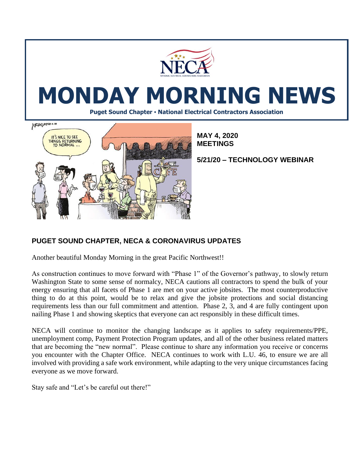

# **MONDAY MORNING NEWS**

**Puget Sound Chapter • National Electrical Contractors Association**



**MAY 4, 2020 MEETINGS**

**5/21/20 – TECHNOLOGY WEBINAR**

# **PUGET SOUND CHAPTER, NECA & CORONAVIRUS UPDATES**

Another beautiful Monday Morning in the great Pacific Northwest!!

As construction continues to move forward with "Phase 1" of the Governor's pathway, to slowly return Washington State to some sense of normalcy, NECA cautions all contractors to spend the bulk of your energy ensuring that all facets of Phase 1 are met on your active jobsites. The most counterproductive thing to do at this point, would be to relax and give the jobsite protections and social distancing requirements less than our full commitment and attention. Phase 2, 3, and 4 are fully contingent upon nailing Phase 1 and showing skeptics that everyone can act responsibly in these difficult times.

NECA will continue to monitor the changing landscape as it applies to safety requirements/PPE, unemployment comp, Payment Protection Program updates, and all of the other business related matters that are becoming the "new normal". Please continue to share any information you receive or concerns you encounter with the Chapter Office. NECA continues to work with L.U. 46, to ensure we are all involved with providing a safe work environment, while adapting to the very unique circumstances facing everyone as we move forward.

Stay safe and "Let's be careful out there!"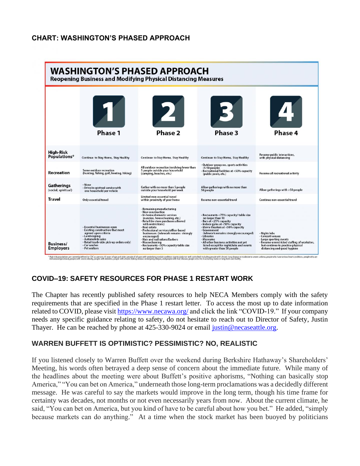### **CHART: WASHINGTON'S PHASED APPROACH**



### **COVID–19: SAFETY RESOURCES FOR PHASE 1 RESTART WORK**

The Chapter has recently published safety resources to help NECA Members comply with the safety requirements that are specified in the Phase 1 restart letter. To access the most up to date information related to COVID, please visit<https://www.necawa.org/> and click the link "COVID-19." If your company needs any specific guidance relating to safety, do not hesitate to reach out to Director of Safety, Justin Thayer. He can be reached by phone at 425-330-9024 or email [justin@necaseattle.org.](mailto:justin@necaseattle.org)

#### **WARREN BUFFETT IS OPTIMISTIC? PESSIMISTIC? NO, REALISTIC**

If you listened closely to Warren Buffett over the weekend during Berkshire Hathaway's Shareholders' Meeting, his words often betrayed a deep sense of concern about the immediate future. While many of the headlines about the meeting were about Buffett's positive aphorisms, "Nothing can basically stop America," "You can bet on America," underneath those long-term proclamations was a decidedly different message. He was careful to say the markets would improve in the long term, though his time frame for certainty was decades, not months or not even necessarily years from now. About the current climate, he said, "You can bet on America, but you kind of have to be careful about how you bet." He added, "simply because markets can do anything." At a time when the stock market has been buoyed by politicians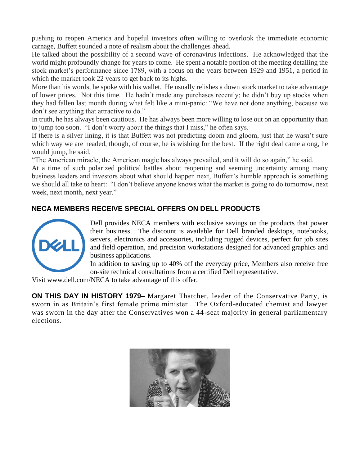pushing to reopen America and hopeful investors often willing to overlook the immediate economic carnage, Buffett sounded a note of realism about the challenges ahead.

He talked about the possibility of a second wave of coronavirus infections. He acknowledged that the world might profoundly change for years to come. He spent a notable portion of the meeting detailing the stock market's performance since 1789, with a focus on the years between 1929 and 1951, a period in which the market took 22 years to get back to its highs.

More than his words, he spoke with his wallet. He usually relishes a down stock market to take advantage of lower prices. Not this time. He hadn't made any purchases recently; he didn't buy up stocks when they had fallen last month during what felt like a mini-panic: "We have not done anything, because we don't see anything that attractive to do."

In truth, he has always been cautious. He has always been more willing to lose out on an opportunity than to jump too soon. "I don't worry about the things that I miss," he often says.

If there is a silver lining, it is that Buffett was not predicting doom and gloom, just that he wasn't sure which way we are headed, though, of course, he is wishing for the best. If the right deal came along, he would jump, he said.

"The American miracle, the American magic has always prevailed, and it will do so again," he said.

At a time of such polarized political battles about reopening and seeming uncertainty among many business leaders and investors about what should happen next, Buffett's humble approach is something we should all take to heart: "I don't believe anyone knows what the market is going to do tomorrow, next week, next month, next year."

# **NECA MEMBERS RECEIVE SPECIAL OFFERS ON DELL PRODUCTS**



Dell provides NECA members with exclusive savings on the products that power their business. The discount is available for Dell branded desktops, notebooks, servers, electronics and accessories, including [rugged devices,](https://www.youtube.com/watch?v=stDk6M_p_d8) perfect for job sites and [field operation,](https://www.youtube.com/watch?v=vLQfPd9KS_E) and precision workstations designed for advanced graphics and business applications.

In addition to saving up to 40% off the everyday price, Members also receive free on-site technical consultations from a certified Dell representative.

Visit www.dell.com/NECA to take advantage of this offer.

**ON THIS DAY IN HISTORY 1979–** [Margaret Thatcher,](https://www.history.com/topics/british-history/margaret-thatcher) leader of the Conservative Party, is sworn in as Britain's first female prime minister. The Oxford-educated chemist and lawyer was sworn in the day after the Conservatives won a 44-seat majority in general parliamentary elections.